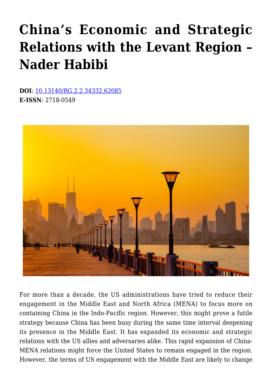# **[China's Economic and Strategic](https://www.uikpanorama.com/blog/2021/11/09/chinas-economic-and-strategic-relations-with-the-levant-region/) [Relations with the Levant Region –](https://www.uikpanorama.com/blog/2021/11/09/chinas-economic-and-strategic-relations-with-the-levant-region/) [Nader Habibi](https://www.uikpanorama.com/blog/2021/11/09/chinas-economic-and-strategic-relations-with-the-levant-region/)**

**DOI**: [10.13140/RG.2.2.34332.62085](http://dx.doi.org/10.13140/RG.2.2.34332.62085) **E-ISSN**: 2718-0549



For more than a decade, the US administrations have tried to reduce their engagement in the Middle East and North Africa (MENA) to focus more on containing China in the Indo-Pacific region. However, this might prove a futile strategy because China has been busy during the same time interval deepening its presence in the Middle East. It has expanded its economic and strategic relations with the US allies and adversaries alike. This rapid expansion of China-MENA relations might force the United States to remain engaged in the region. However, the terms of US engagement with the Middle East are likely to change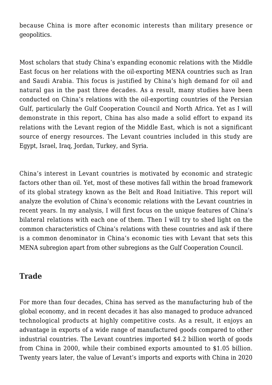because China is more after economic interests than military presence or geopolitics.

Most scholars that study China's expanding economic relations with the Middle East focus on her relations with the oil-exporting MENA countries such as Iran and Saudi Arabia. This focus is justified by China's high demand for oil and natural gas in the past three decades. As a result, many studies have been conducted on China's relations with the oil-exporting countries of the Persian Gulf, particularly the Gulf Cooperation Council and North Africa. Yet as I will demonstrate in this report, China has also made a solid effort to expand its relations with the Levant region of the Middle East, which is not a significant source of energy resources. The Levant countries included in this study are Egypt, Israel, Iraq, Jordan, Turkey, and Syria.

China's interest in Levant countries is motivated by economic and strategic factors other than oil. Yet, most of these motives fall within the broad framework of its global strategy known as the Belt and Road Initiative. This report will analyze the evolution of China's economic relations with the Levant countries in recent years. In my analysis, I will first focus on the unique features of China's bilateral relations with each one of them. Then I will try to shed light on the common characteristics of China's relations with these countries and ask if there is a common denominator in China's economic ties with Levant that sets this MENA subregion apart from other subregions as the Gulf Cooperation Council.

## **Trade**

For more than four decades, China has served as the manufacturing hub of the global economy, and in recent decades it has also managed to produce advanced technological products at highly competitive costs. As a result, it enjoys an advantage in exports of a wide range of manufactured goods compared to other industrial countries. The Levant countries imported \$4.2 billion worth of goods from China in 2000, while their combined exports amounted to \$1.05 billion. Twenty years later, the value of Levant's imports and exports with China in 2020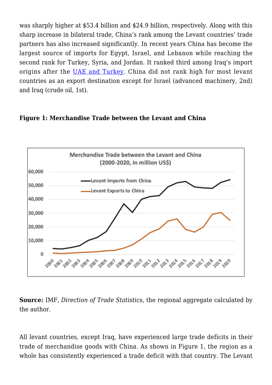was sharply higher at \$53.4 billion and \$24.9 billion, respectively. Along with this sharp increase in bilateral trade, China's rank among the Levant countries' trade partners has also increased significantly. In recent years China has become the largest source of imports for Egypt, Israel, and Lebanon while reaching the second rank for Turkey, Syria, and Jordan. It ranked third among Iraq's import origins after the [UAE and Turkey.](https://oec.world/en) China did not rank high for most levant countries as an export destination except for Israel (advanced machinery, 2nd) and Iraq (crude oil, 1st).

#### **Figure 1: Merchandise Trade between the Levant and China**



**Source:** IMF, *Direction of Trade Statistics*, the regional aggregate calculated by the author.

All levant countries, except Iraq, have experienced large trade deficits in their trade of merchandise goods with China. As shown in Figure 1, the region as a whole has consistently experienced a trade deficit with that country. The Levant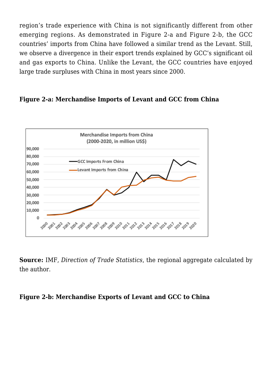region's trade experience with China is not significantly different from other emerging regions. As demonstrated in Figure 2-a and Figure 2-b, the GCC countries' imports from China have followed a similar trend as the Levant. Still, we observe a divergence in their export trends explained by GCC's significant oil and gas exports to China. Unlike the Levant, the GCC countries have enjoyed large trade surpluses with China in most years since 2000.

#### **Figure 2-a: Merchandise Imports of Levant and GCC from China**



**Source:** IMF, *Direction of Trade Statistics*, the regional aggregate calculated by the author.

#### **Figure 2-b: Merchandise Exports of Levant and GCC to China**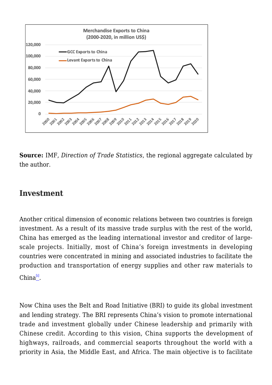

**Source:** IMF, *Direction of Trade Statistics*, the regional aggregate calculated by the author.

## **Investment**

Another critical dimension of economic relations between two countries is foreign investment. As a result of its massive trade surplus with the rest of the world, China has emerged as the leading international investor and creditor of largescale projects. Initially, most of China's foreign investments in developing countries were concentrated in mining and associated industries to facilitate the production and transportation of energy supplies and other raw materials to China $\overset{[i]}{\llcorner}$  $\overset{[i]}{\llcorner}$  $\overset{[i]}{\llcorner}$ .

Now China uses the Belt and Road Initiative (BRI) to guide its global investment and lending strategy. The BRI represents China's vision to promote international trade and investment globally under Chinese leadership and primarily with Chinese credit. According to this vision, China supports the development of highways, railroads, and commercial seaports throughout the world with a priority in Asia, the Middle East, and Africa. The main objective is to facilitate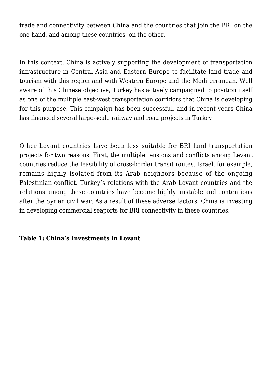trade and connectivity between China and the countries that join the BRI on the one hand, and among these countries, on the other.

In this context, China is actively supporting the development of transportation infrastructure in Central Asia and Eastern Europe to facilitate land trade and tourism with this region and with Western Europe and the Mediterranean. Well aware of this Chinese objective, Turkey has actively campaigned to position itself as one of the multiple east-west transportation corridors that China is developing for this purpose. This campaign has been successful, and in recent years China has financed several large-scale railway and road projects in Turkey.

Other Levant countries have been less suitable for BRI land transportation projects for two reasons. First, the multiple tensions and conflicts among Levant countries reduce the feasibility of cross-border transit routes. Israel, for example, remains highly isolated from its Arab neighbors because of the ongoing Palestinian conflict. Turkey's relations with the Arab Levant countries and the relations among these countries have become highly unstable and contentious after the Syrian civil war. As a result of these adverse factors, China is investing in developing commercial seaports for BRI connectivity in these countries.

#### **Table 1: China's Investments in Levant**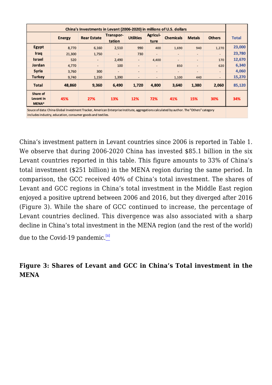| China's Investments in Levant (2006-2020) in millions of U.S. dollars |               |                    |                     |                  |                          |                          |                          |               |              |
|-----------------------------------------------------------------------|---------------|--------------------|---------------------|------------------|--------------------------|--------------------------|--------------------------|---------------|--------------|
|                                                                       | <b>Energy</b> | <b>Rear Estate</b> | Transpor-<br>tation | <b>Utilities</b> | Agricul-<br>ture         | <b>Chemicals</b>         | <b>Metals</b>            | <b>Others</b> | <b>Total</b> |
| Egypt                                                                 | 8,770         | 6,160              | 2,510               | 990              | 400                      | 1,690                    | 940                      | 1,270         | 23,000       |
| Iraq                                                                  | 21,300        | 1,750              | $\frac{1}{2}$       | 730              | $\overline{\phantom{a}}$ | $\overline{\phantom{a}}$ | $\overline{\phantom{a}}$ | ۰             | 23,780       |
| <b>Israel</b>                                                         | 520           | $\blacksquare$     | 2,490               | $\sim$           | 4,400                    | $\overline{\phantom{a}}$ |                          | 170           | 12,670       |
| Jordan                                                                | 4,770         | $\sim$             | 100                 | $\sim$           | ٠                        | 850                      | ٠                        | 620           | 6,340        |
| Syria                                                                 | 3,760         | 300                | ٠                   | $\sim$           | $\sim$                   | ٠                        | $\sim$                   | $\sim$        | 4,060        |
| <b>Turkey</b>                                                         | 9,740         | 1,150              | 1,390               | $\blacksquare$   | ٠                        | 1,100                    | 440                      | $\sim$        | 15,270       |
| <b>Total</b>                                                          | 48,860        | 9,360              | 6,490               | 1,720            | 4,800                    | 3,640                    | 1,380                    | 2,060         | 85,120       |
| Share of<br>Levant in<br>MENA*                                        | 45%           | 27%                | 13%                 | 12%              | 72%                      | 41%                      | 15%                      | 30%           | 34%          |

Souce of data: China Global Investment Tracker, American Enterprise Institute, aggregations calculated by author. The "Others" category includes industry, education, consumer goods and textiles.

China's investment pattern in Levant countries since 2006 is reported in Table 1. We observe that during 2006-2020 China has invested \$85.1 billion in the six Levant countries reported in this table. This figure amounts to 33% of China's total investment (\$251 billion) in the MENA region during the same period. In comparison, the GCC received 40% of China's total investment. The shares of Levant and GCC regions in China's total investment in the Middle East region enjoyed a positive uptrend between 2006 and 2016, but they diverged after 2016 (Figure 3). While the share of GCC continued to increase, the percentage of Levant countries declined. This divergence was also associated with a sharp decline in China's total investment in the MENA region (and the rest of the world)

due to the Covid-19 pandemic.<sup>[\[ii\]](https://www.uikpanorama.com/applewebdata://30CC5F14-757B-4F95-A9CE-20DF5AF02E7B#_edn2)</sup>

## **Figure 3: Shares of Levant and GCC in China's Total investment in the MENA**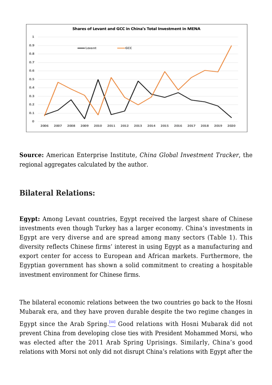

**Source:** American Enterprise Institute*, China Global Investment Tracker*, the regional aggregates calculated by the author.

## **Bilateral Relations:**

**Egypt:** Among Levant countries, Egypt received the largest share of Chinese investments even though Turkey has a larger economy. China's investments in Egypt are very diverse and are spread among many sectors (Table 1). This diversity reflects Chinese firms' interest in using Egypt as a manufacturing and export center for access to European and African markets. Furthermore, the Egyptian government has shown a solid commitment to creating a hospitable investment environment for Chinese firms.

The bilateral economic relations between the two countries go back to the Hosni Mubarak era, and they have proven durable despite the two regime changes in Egypt since the Arab Spring.<sup>[\[iii\]](https://www.uikpanorama.com/applewebdata://30CC5F14-757B-4F95-A9CE-20DF5AF02E7B#_edn3)</sup> Good relations with Hosni Mubarak did not prevent China from developing close ties with President Mohammed Morsi, who was elected after the 2011 Arab Spring Uprisings. Similarly, China's good relations with Morsi not only did not disrupt China's relations with Egypt after the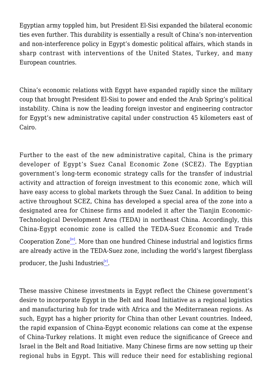Egyptian army toppled him, but President El-Sisi expanded the bilateral economic ties even further. This durability is essentially a result of China's non-intervention and non-interference policy in Egypt's domestic political affairs, which stands in sharp contrast with interventions of the United States, Turkey, and many European countries.

China's economic relations with Egypt have expanded rapidly since the military coup that brought President El-Sisi to power and ended the Arab Spring's political instability. China is now the leading foreign investor and engineering contractor for Egypt's new administrative capital under construction 45 kilometers east of Cairo.

Further to the east of the new administrative capital, China is the primary developer of Egypt's Suez Canal Economic Zone (SCEZ). The Egyptian government's long-term economic strategy calls for the transfer of industrial activity and attraction of foreign investment to this economic zone, which will have easy access to global markets through the Suez Canal. In addition to being active throughout SCEZ, China has developed a special area of the zone into a designated area for Chinese firms and modeled it after the Tianjin Economic-Technological Development Area (TEDA) in northeast China. Accordingly, this China-Egypt economic zone is called the TEDA-Suez Economic and Trade Cooperation Zone<sup>[\[iv\]](https://www.uikpanorama.com/applewebdata://30CC5F14-757B-4F95-A9CE-20DF5AF02E7B#_edn4)</sup>. More than one hundred Chinese industrial and logistics firms are already active in the TEDA-Suez zone, including the world's largest fiberglass

producer, the Jushi Industries $\stackrel{[v]}{-}$  $\stackrel{[v]}{-}$  $\stackrel{[v]}{-}$ .

These massive Chinese investments in Egypt reflect the Chinese government's desire to incorporate Egypt in the Belt and Road Initiative as a regional logistics and manufacturing hub for trade with Africa and the Mediterranean regions. As such, Egypt has a higher priority for China than other Levant countries. Indeed, the rapid expansion of China-Egypt economic relations can come at the expense of China-Turkey relations. It might even reduce the significance of Greece and Israel in the Belt and Road Initiative. Many Chinese firms are now setting up their regional hubs in Egypt. This will reduce their need for establishing regional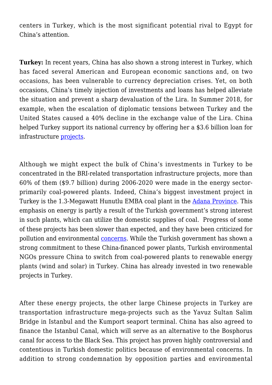centers in Turkey, which is the most significant potential rival to Egypt for China's attention.

**Turkey:** In recent years, China has also shown a strong interest in Turkey, which has faced several American and European economic sanctions and, on two occasions, has been vulnerable to currency depreciation crises. Yet, on both occasions, China's timely injection of investments and loans has helped alleviate the situation and prevent a sharp devaluation of the Lira. In Summer 2018, for example, when the escalation of diplomatic tensions between Turkey and the United States caused a 40% decline in the exchange value of the Lira. China helped Turkey support its national currency by offering her a \$3.6 billion loan for infrastructure [projects.](https://www.cnbc.com/2018/08/17/china-backs-turkey-to-overcome-its-economic-crisis.html)

Although we might expect the bulk of China's investments in Turkey to be concentrated in the BRI-related transportation infrastructure projects, more than 60% of them (\$9.7 billion) during 2006-2020 were made in the energy sectorprimarily coal-powered plants. Indeed, China's biggest investment project in Turkey is the 1.3-Megawatt Hunutlu EMBA coal plant in the [Adana Province.](https://www.ran.org/the-understory/case-study-emba-hunutlu-coal-plant/) This emphasis on energy is partly a result of the Turkish government's strong interest in such plants, which can utilize the domestic supplies of coal. Progress of some of these projects has been slower than expected, and they have been criticized for pollution and environmental [concerns.](https://chinadialogue.net/en/energy/a-chinese-coal-plant-highlights-turkeys-flawed-energy-policy/) While the Turkish government has shown a strong commitment to these China-financed power plants, Turkish environmental NGOs pressure China to switch from coal-powered plants to renewable energy plants (wind and solar) in Turkey. China has already invested in two renewable projects in Turkey.

After these energy projects, the other large Chinese projects in Turkey are transportation infrastructure mega-projects such as the Yavuz Sultan Salim Bridge in Istanbul and the Kumport seaport terminal. China has also agreed to finance the Istanbul Canal, which will serve as an alternative to the Bosphorus canal for access to the Black Sea. This project has proven highly controversial and contentious in Turkish domestic politics because of environmental concerns. In addition to strong condemnation by opposition parties and environmental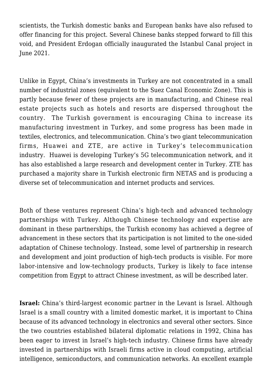scientists, the Turkish domestic banks and European banks have also refused to offer financing for this project. Several Chinese banks stepped forward to fill this void, and President Erdogan officially inaugurated the Istanbul Canal project in June 2021.

Unlike in Egypt, China's investments in Turkey are not concentrated in a small number of industrial zones (equivalent to the Suez Canal Economic Zone). This is partly because fewer of these projects are in manufacturing, and Chinese real estate projects such as hotels and resorts are dispersed throughout the country. The Turkish government is encouraging China to increase its manufacturing investment in Turkey, and some progress has been made in textiles, electronics, and telecommunication. China's two giant telecommunication firms, Huawei and ZTE, are active in Turkey's telecommunication industry. Huawei is developing Turkey's 5G telecommunication network, and it has also established a large research and development center in Turkey. ZTE has purchased a majority share in Turkish electronic firm NETAS and is producing a diverse set of telecommunication and internet products and services.

Both of these ventures represent China's high-tech and advanced technology partnerships with Turkey. Although Chinese technology and expertise are dominant in these partnerships, the Turkish economy has achieved a degree of advancement in these sectors that its participation is not limited to the one-sided adaptation of Chinese technology. Instead, some level of partnership in research and development and joint production of high-tech products is visible. For more labor-intensive and low-technology products, Turkey is likely to face intense competition from Egypt to attract Chinese investment, as will be described later.

**Israel:** China's third-largest economic partner in the Levant is Israel. Although Israel is a small country with a limited domestic market, it is important to China because of its advanced technology in electronics and several other sectors. Since the two countries established bilateral diplomatic relations in 1992, China has been eager to invest in Israel's high-tech industry. Chinese firms have already invested in partnerships with Israeli firms active in cloud computing, artificial intelligence, semiconductors, and communication networks. An excellent example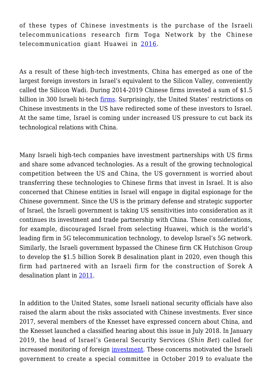of these types of Chinese investments is the purchase of the Israeli telecommunications research firm Toga Network by the Chinese telecommunication giant Huawei in [2016](https://venturebeat.com/2016/12/07/huawei-reportedly-acquires-israeli-it-networking-company-toga-networks-for-150-million/).

As a result of these high-tech investments, China has emerged as one of the largest foreign investors in Israel's equivalent to the Silicon Valley, conveniently called the Silicon Wadi. During 2014-2019 Chinese firms invested a sum of \$1.5 billion in 300 Israeli hi-tech [firms.](https://www.calcalistech.com/ctech/articles/0,7340,L-3772395,00.html) Surprisingly, the United States' restrictions on Chinese investments in the US have redirected some of these investors to Israel. At the same time, Israel is coming under increased US pressure to cut back its technological relations with China.

Many Israeli high-tech companies have investment partnerships with US firms and share some advanced technologies. As a result of the growing technological competition between the US and China, the US government is worried about transferring these technologies to Chinese firms that invest in Israel. It is also concerned that Chinese entities in Israel will engage in digital espionage for the Chinese government. Since the US is the primary defense and strategic supporter of Israel, the Israeli government is taking US sensitivities into consideration as it continues its investment and trade partnership with China. These considerations, for example, discouraged Israel from selecting Huawei, which is the world's leading firm in 5G telecommunication technology, to develop Israel's 5G network. Similarly, the Israeli government bypassed the Chinese firm CK Hutchison Group to develop the \$1.5 billion Sorek B desalination plant in 2020, even though this firm had partnered with an Israeli firm for the construction of Sorek A desalination plant in [2011](https://www.timesofisrael.com/amid-us-pressure-israel-taps-local-firm-over-chinese-bid-for-desalination-plant/).

In addition to the United States, some Israeli national security officials have also raised the alarm about the risks associated with Chinese investments. Ever since 2017, several members of the Knesset have expressed concern about China, and the Knesset launched a classified hearing about this issue in July 2018. In January 2019, the head of Israel's General Security Services (*Shin Bet*) called for increased monitoring of foreign [investment.](http://haaretz.com/israel-news/business/chinese-investments-in-israel-could-pose-security-threat-shin-bet-chief-warns-1.6827146) These concerns motivated the Israeli government to create a special committee in October 2019 to evaluate the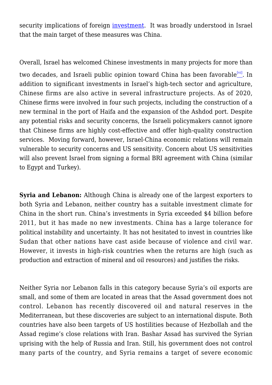security implications of foreign [investment.](https://investmentpolicy.unctad.org/investment-policy-monitor/measures/3426/israel-government-establishes-a-committee-to-evaluate-national-security-implications-of-foreign-investment) It was broadly understood in Israel that the main target of these measures was China.

Overall, Israel has welcomed Chinese investments in many projects for more than two decades, and Israeli public opinion toward China has been favorable<sup>[\[vi\]](https://www.uikpanorama.com/applewebdata://30CC5F14-757B-4F95-A9CE-20DF5AF02E7B#_edn6)</sup>. In addition to significant investments in Israel's high-tech sector and agriculture, Chinese firms are also active in several infrastructure projects. As of 2020, Chinese firms were involved in four such projects, including the construction of a new terminal in the port of Haifa and the expansion of the Ashdod port. Despite any potential risks and security concerns, the Israeli policymakers cannot ignore that Chinese firms are highly cost-effective and offer high-quality construction services. Moving forward, however, Israel-China economic relations will remain vulnerable to security concerns and US sensitivity. Concern about US sensitivities will also prevent Israel from signing a formal BRI agreement with China (similar to Egypt and Turkey).

**Syria and Lebanon:** Although China is already one of the largest exporters to both Syria and Lebanon, neither country has a suitable investment climate for China in the short run. China's investments in Syria exceeded \$4 billion before 2011, but it has made no new investments. China has a large tolerance for political instability and uncertainty. It has not hesitated to invest in countries like Sudan that other nations have cast aside because of violence and civil war. However, it invests in high-risk countries when the returns are high (such as production and extraction of mineral and oil resources) and justifies the risks.

Neither Syria nor Lebanon falls in this category because Syria's oil exports are small, and some of them are located in areas that the Assad government does not control. Lebanon has recently discovered oil and natural reserves in the Mediterranean, but these discoveries are subject to an international dispute. Both countries have also been targets of US hostilities because of Hezbollah and the Assad regime's close relations with Iran. Bashar Assad has survived the Syrian uprising with the help of Russia and Iran. Still, his government does not control many parts of the country, and Syria remains a target of severe economic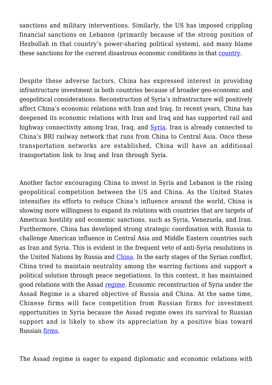sanctions and military interventions. Similarly, the US has imposed crippling financial sanctions on Lebanon (primarily because of the strong position of Hezbollah in that country's power-sharing political system), and many blame these sanctions for the current disastrous economic conditions in that [country.](https://www.aljazeera.com/economy/2020/6/19/us-caesar-act-could-bleed-lebanon-for-years-to-come)

Despite these adverse factors, China has expressed interest in providing infrastructure investment in both countries because of broader geo-economic and geopolitical considerations. Reconstruction of Syria's infrastructure will positively affect China's economic relations with Iran and Iraq. In recent years, China has deepened its economic relations with Iran and Iraq and has supported rail and highway connectivity among Iran, Iraq, and [Syria](https://www.al-monitor.com/originals/2018/11/iran-iraq-syria-railway.html). Iran is already connected to China's BRI railway network that runs from China to Central Asia. Once these transportation networks are established, China will have an additional transportation link to Iraq and Iran through Syria.

Another factor encouraging China to invest in Syria and Lebanon is the rising geopolitical competition between the US and China. As the United States intensifies its efforts to reduce China's influence around the world, China is showing more willingness to expand its relations with countries that are targets of American hostility and economic sanctions, such as Syria, Venezuela, and Iran. Furthermore, China has developed strong strategic coordination with Russia to challenge American influence in Central Asia and Middle Eastern countries such as Iran and Syria. This is evident in the frequent veto of anti-Syria resolutions in the United Nations by Russia and [China](https://www.eastasiaforum.org/2020/02/28/chinas-vetoes-during-the-syrian-conflict/). In the early stages of the Syrian conflict, China tried to maintain neutrality among the warring factions and support a political solution through peace negotiations. In this context, it has maintained good relations with the Assad [regime.](https://www.mei.edu/publications/china-and-syria-war-and-reconstruction) Economic reconstruction of Syria under the Assad Regime is a shared objective of Russia and China. At the same time, Chinese firms will face competition from Russian firms for investment opportunities in Syria because the Assad regime owes its survival to Russian support and is likely to show its appreciation by a positive bias toward Russian [firms.](https://www.france24.com/en/20190612-syria-parliament-okays-russian-lease-tartus-port-state-media)

The Assad regime is eager to expand diplomatic and economic relations with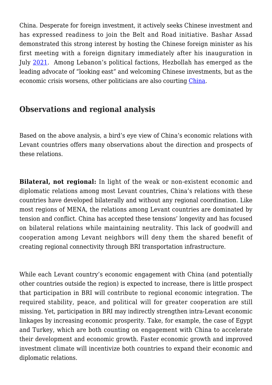China. Desperate for foreign investment, it actively seeks Chinese investment and has expressed readiness to join the Belt and Road initiative. Bashar Assad demonstrated this strong interest by hosting the Chinese foreign minister as his first meeting with a foreign dignitary immediately after his inauguration in July [2021](https://www.theguardian.com/world/2021/jul/21/syrian-economy-ruins-china-sniffs-opportunity-assad). Among Lebanon's political factions, Hezbollah has emerged as the leading advocate of "looking east" and welcoming Chinese investments, but as the economic crisis worsens, other politicians are also courting [China](https://en.radiofarda.com/a/lebanon-and-its-hezbollah-follow-iran-hoping-for-a-chinese-rescue/30730447.html).

# **Observations and regional analysis**

Based on the above analysis, a bird's eye view of China's economic relations with Levant countries offers many observations about the direction and prospects of these relations.

**Bilateral, not regional:** In light of the weak or non-existent economic and diplomatic relations among most Levant countries, China's relations with these countries have developed bilaterally and without any regional coordination. Like most regions of MENA, the relations among Levant countries are dominated by tension and conflict. China has accepted these tensions' longevity and has focused on bilateral relations while maintaining neutrality. This lack of goodwill and cooperation among Levant neighbors will deny them the shared benefit of creating regional connectivity through BRI transportation infrastructure.

While each Levant country's economic engagement with China (and potentially other countries outside the region) is expected to increase, there is little prospect that participation in BRI will contribute to regional economic integration. The required stability, peace, and political will for greater cooperation are still missing. Yet, participation in BRI may indirectly strengthen intra-Levant economic linkages by increasing economic prosperity. Take, for example, the case of Egypt and Turkey, which are both counting on engagement with China to accelerate their development and economic growth. Faster economic growth and improved investment climate will incentivize both countries to expand their economic and diplomatic relations.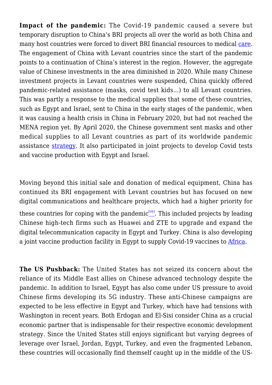**Impact of the pandemic:** The Covid-19 pandemic caused a severe but temporary disruption to China's BRI projects all over the world as both China and many host countries were forced to divert BRI financial resources to medical [care.](https://www.centralbanking.com/central-banks/economics/7835241/the-belt-and-road-initiative-2021-survey-the-impact-of-covid-19-on-the-bri) The engagement of China with Levant countries since the start of the pandemic points to a continuation of China's interest in the region. However, the aggregate value of Chinese investments in the area diminished in 2020. While many Chinese investment projects in Levant countries were suspended, China quickly offered pandemic-related assistance (masks, covid test kids…) to all Levant countries. This was partly a response to the medical supplies that some of these countries, such as Egypt and Israel, sent to China in the early stages of the pandemic, when it was causing a health crisis in China in February 2020, but had not reached the MENA region yet. By April 2020, the Chinese government sent masks and other medical supplies to all Levant countries as part of its worldwide pandemic assistance [strategy.](https://www.equaltimes.org/china-harnesses-health-diplomacy#.YVIneWZKh6E) It also participated in joint projects to develop Covid tests and vaccine production with Egypt and Israel.

Moving beyond this initial sale and donation of medical equipment, China has continued its BRI engagement with Levant countries but has focused on new digital communications and healthcare projects, which had a higher priority for these countries for coping with the pandemic<sup>[\[vii\]](https://www.uikpanorama.com/applewebdata://30CC5F14-757B-4F95-A9CE-20DF5AF02E7B#_edn7)</sup>. This included projects by leading Chinese high-tech firms such as Huawei and ZTE to upgrade and expand the digital telecommunication capacity in Egypt and Turkey. China is also developing a joint vaccine production facility in Egypt to supply Covid-19 vaccines to [Africa.](http://www.news.cn/english/africa/2021-09/07/c_1310173667.htm)

**The US Pushback:** The United States has not seized its concern about the reliance of its Middle East allies on Chinese advanced technology despite the pandemic. In addition to Israel, Egypt has also come under US pressure to avoid Chinese firms developing its 5G industry. These anti-Chinese campaigns are expected to be less effective in Egypt and Turkey, which have had tensions with Washington in recent years. Both Erdogan and El-Sisi consider China as a crucial economic partner that is indispensable for their respective economic development strategy. Since the United States still enjoys significant but varying degrees of leverage over Israel, Jordan, Egypt, Turkey, and even the fragmented Lebanon, these countries will occasionally find themself caught up in the middle of the US-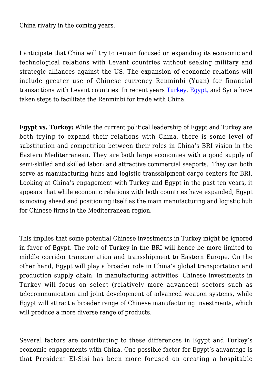China rivalry in the coming years.

I anticipate that China will try to remain focused on expanding its economic and technological relations with Levant countries without seeking military and strategic alliances against the US. The expansion of economic relations will include greater use of Chinese currency Renminbi (Yuan) for financial transactions with Levant countries. In recent years [Turkey](https://www.reuters.com/article/us-turkey-cenbank-china/turkish-central-bank-says-used-chinese-yuan-funding-for-first-time-idUSKBN23Q2AH), [Egypt,](https://www.egypttoday.com/Article/1/68862/Why-Egypt-is-significant-to-Belt-and-Road-Initiative) and Syria have taken steps to facilitate the Renminbi for trade with China.

**Egypt vs. Turkey:** While the current political leadership of Egypt and Turkey are both trying to expand their relations with China, there is some level of substitution and competition between their roles in China's BRI vision in the Eastern Mediterranean. They are both large economies with a good supply of semi-skilled and skilled labor; and attractive commercial seaports. They can both serve as manufacturing hubs and logistic transshipment cargo centers for BRI. Looking at China's engagement with Turkey and Egypt in the past ten years, it appears that while economic relations with both countries have expanded, Egypt is moving ahead and positioning itself as the main manufacturing and logistic hub for Chinese firms in the Mediterranean region.

This implies that some potential Chinese investments in Turkey might be ignored in favor of Egypt. The role of Turkey in the BRI will hence be more limited to middle corridor transportation and transshipment to Eastern Europe. On the other hand, Egypt will play a broader role in China's global transportation and production supply chain. In manufacturing activities, Chinese investments in Turkey will focus on select (relatively more advanced) sectors such as telecommunication and joint development of advanced weapon systems, while Egypt will attract a broader range of Chinese manufacturing investments, which will produce a more diverse range of products.

Several factors are contributing to these differences in Egypt and Turkey's economic engagements with China. One possible factor for Egypt's advantage is that President El-Sisi has been more focused on creating a hospitable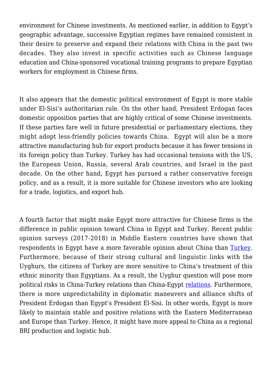environment for Chinese investments. As mentioned earlier, in addition to Egypt's geographic advantage, successive Egyptian regimes have remained consistent in their desire to preserve and expand their relations with China in the past two decades. They also invest in specific activities such as Chinese language education and China-sponsored vocational training programs to prepare Egyptian workers for employment in Chinese firms.

It also appears that the domestic political environment of Egypt is more stable under El-Sisi's authoritarian rule. On the other hand, President Erdogan faces domestic opposition parties that are highly critical of some Chinese investments. If these parties fare well in future presidential or parliamentary elections, they might adopt less-friendly policies towards China. Egypt will also be a more attractive manufacturing hub for export products because it has fewer tensions in its foreign policy than Turkey. Turkey has had occasional tensions with the US, the European Union, Russia, several Arab countries, and Israel in the past decade. On the other hand, Egypt has pursued a rather conservative foreign policy, and as a result, it is more suitable for Chinese investors who are looking for a trade, logistics, and export hub.

A fourth factor that might make Egypt more attractive for Chinese firms is the difference in public opinion toward China in Egypt and Turkey. Recent public opinion surveys (2017-2018) in Middle Eastern countries have shown that respondents in Egypt have a more favorable opinion about China than [Turkey.](https://www.mei.edu/publications/public-opinion-middle-east-toward-china) Furthermore, because of their strong cultural and linguistic links with the Uyghurs, the citizens of Turkey are more sensitive to China's treatment of this ethnic minority than Egyptians. As a result, the Uyghur question will pose more political risks in China-Turkey relations than China-Egypt [relations.](https://www.mei.edu/publications/turkey-china-relations-strategic-cooperation-strategic-partnership) Furthermore, there is more unpredictability in diplomatic maneuvers and alliance shifts of President Erdogan than Egypt's President El-Sisi. In other words, Egypt is more likely to maintain stable and positive relations with the Eastern Mediterranean and Europe than Turkey. Hence, it might have more appeal to China as a regional BRI production and logistic hub.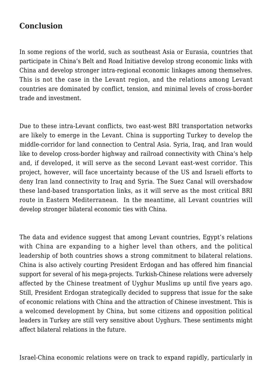# **Conclusion**

In some regions of the world, such as southeast Asia or Eurasia, countries that participate in China's Belt and Road Initiative develop strong economic links with China and develop stronger intra-regional economic linkages among themselves. This is not the case in the Levant region, and the relations among Levant countries are dominated by conflict, tension, and minimal levels of cross-border trade and investment.

Due to these intra-Levant conflicts, two east-west BRI transportation networks are likely to emerge in the Levant. China is supporting Turkey to develop the middle-corridor for land connection to Central Asia. Syria, Iraq, and Iran would like to develop cross-border highway and railroad connectivity with China's help and, if developed, it will serve as the second Levant east-west corridor. This project, however, will face uncertainty because of the US and Israeli efforts to deny Iran land connectivity to Iraq and Syria. The Suez Canal will overshadow these land-based transportation links, as it will serve as the most critical BRI route in Eastern Mediterranean. In the meantime, all Levant countries will develop stronger bilateral economic ties with China.

The data and evidence suggest that among Levant countries, Egypt's relations with China are expanding to a higher level than others, and the political leadership of both countries shows a strong commitment to bilateral relations. China is also actively courting President Erdogan and has offered him financial support for several of his mega-projects. Turkish-Chinese relations were adversely affected by the Chinese treatment of Uyghur Muslims up until five years ago. Still, President Erdogan strategically decided to suppress that issue for the sake of economic relations with China and the attraction of Chinese investment. This is a welcomed development by China, but some citizens and opposition political leaders in Turkey are still very sensitive about Uyghurs. These sentiments might affect bilateral relations in the future.

Israel-China economic relations were on track to expand rapidly, particularly in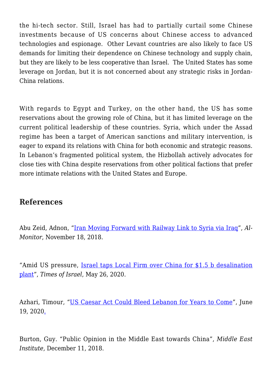the hi-tech sector. Still, Israel has had to partially curtail some Chinese investments because of US concerns about Chinese access to advanced technologies and espionage. Other Levant countries are also likely to face US demands for limiting their dependence on Chinese technology and supply chain, but they are likely to be less cooperative than Israel. The United States has some leverage on Jordan, but it is not concerned about any strategic risks in Jordan-China relations.

With regards to Egypt and Turkey, on the other hand, the US has some reservations about the growing role of China, but it has limited leverage on the current political leadership of these countries. Syria, which under the Assad regime has been a target of American sanctions and military intervention, is eager to expand its relations with China for both economic and strategic reasons. In Lebanon's fragmented political system, the Hizbollah actively advocates for close ties with China despite reservations from other political factions that prefer more intimate relations with the United States and Europe.

## **References**

Abu Zeid, Adnon, ["Iran Moving Forward with Railway Link to Syria via Iraq](https://www.al-monitor.com/originals/2018/11/iran-iraq-syria-railway.html.)", *Al-Monitor*, November 18, 2018.

"Amid US pressure, [Israel taps Local Firm over China for \\$1.5 b desalination](https://www.timesofisrael.com/amid-us-pressure-israel-taps-local-firm-over-chinese-bid-for-desalination-plant/) [plant](https://www.timesofisrael.com/amid-us-pressure-israel-taps-local-firm-over-chinese-bid-for-desalination-plant/)", *Times of Israel*, May 26, 2020.

Azhari, Timour, "[US Caesar Act Could Bleed Lebanon for Years to Come](https://www.aljazeera.com/economy/2020/6/19/us-caesar-act-could-bleed-lebanon-for-years-to-come.)", June 19, 2020[.](https://www.aljazeera.com/economy/2020/6/19/us-caesar-act-could-bleed-lebanon-for-years-to-come)

Burton, Guy. "Public Opinion in the Middle East towards China", *Middle East Institute,* December 11, 2018.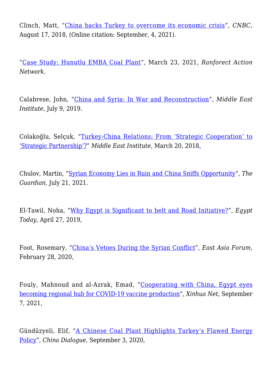Clinch, Matt, "[China backs Turkey to overcome its economic crisis"](https://www.cnbc.com/2018/08/17/china-backs-turkey-to-overcome-its-economic-crisis.html), *CNBC*, August 17, 2018, (Online citation: September, 4, 2021).

"[Case Study: Hunutlu EMBA Coal Plant"](https://www.ran.org/the-understory/case-study-emba-hunutlu-coal-plant/), March 23, 2021, *Ranforect Action Network*.

Calabrese, John, "[China and Syria: In War and Reconstruction"](https://www.mei.edu/publications/china-and-syria-war-and-reconstruction), *Middle East Institute*, July 9, 2019.

Colakoğlu, Selçuk, "[Turkey-China Relations: From 'Strategic Cooperation' to](https://www.mei.edu/publications/turkey-china-relations-strategic-cooperation-strategic-partnership) ['Strategic Partnership'?"](https://www.mei.edu/publications/turkey-china-relations-strategic-cooperation-strategic-partnership) *Middle East Institute*, March 20, 201[8.](https://www.mei.edu/publications/turkey-china-relations-strategic-cooperation-strategic-partnership)

Chulov, Martin, ["Syrian Economy Lies in Ruin and China Sniffs Opportunity](https://www.theguardian.com/world/2021/jul/21/syrian-economy-ruins-china-sniffs-opportunity-assad)", *The Guardian*, July 21, 2021.

El-Tawil, Noha, "[Why Egypt is Significant to belt and Road Initiative?"](https://www.egypttoday.com/Article/1/68862/Why-Egypt-is-significant-to-Belt-and-Road-Initiative), *Egypt Today*, April 27, 2019,

Foot, Rosemary, "[China's Vetoes During the Syrian Conflict"](https://www.eastasiaforum.org/2020/02/28/chinas-vetoes-during-the-syrian-conflict/), *East Asia Forum*, February 28, 2020,

Fouly, Mahnoud and al-Azrak, Emad, "[Cooperating with China, Egypt eyes](http://www.news.cn/english/africa/2021-09/07/c_1310173667.htm) [becoming regional hub for COVID-19 vaccine production"](http://www.news.cn/english/africa/2021-09/07/c_1310173667.htm), *Xinhua Net*, September 7, 2021,

Gündüzyeli, Elif, "[A Chinese Coal Plant Highlights Turkey's Flawed Energy](https://chinadialogue.net/en/energy/a-chinese-coal-plant-highlights-turkeys-flawed-energy-policy/) [Policy](https://chinadialogue.net/en/energy/a-chinese-coal-plant-highlights-turkeys-flawed-energy-policy/)", *China Dialogue*, September 3, 2020,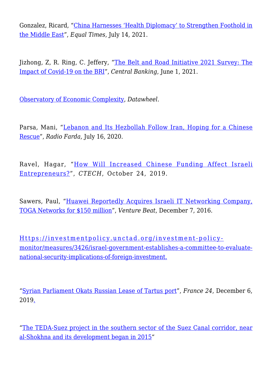Gonzalez, Ricard, ["China Harnesses 'Health Diplomacy' to Strengthen Foothold in](https://www.equaltimes.org/china-harnesses-health-diplomacy#.YVIneWZKh6E) [the Middle East](https://www.equaltimes.org/china-harnesses-health-diplomacy#.YVIneWZKh6E)", *Equal Times*, July 14, 2021.

Jizhong, Z, R. Ring, C. Jeffery, "[The Belt and Road Initiative 2021 Survey: The](https://www.centralbanking.com/central-banks/economics/7835241/the-belt-and-road-initiative-2021-survey-the-impact-of-covid-19-on-the-bri) [Impact of Covid-19 on the BRI](https://www.centralbanking.com/central-banks/economics/7835241/the-belt-and-road-initiative-2021-survey-the-impact-of-covid-19-on-the-bri)", *Central Banking*, June 1, 2021.

[Observatory of Economic Complexity,](https://oec.world/en) *Datawheel*.

Parsa, Mani, "[Lebanon and Its Hezbollah Follow Iran, Hoping for a Chinese](https://en.radiofarda.com/a/lebanon-and-its-hezbollah-follow-iran-hoping-for-a-chinese-rescue/30730447.html.) [Rescue"](https://en.radiofarda.com/a/lebanon-and-its-hezbollah-follow-iran-hoping-for-a-chinese-rescue/30730447.html.), *Radio Farda,* July 16, 2020.

Ravel, Hagar, "[How Will Increased Chinese Funding Affect Israeli](https://www.calcalistech.com/ctech/articles/0,7340,L-3772395,00.html) [Entrepreneurs?](https://www.calcalistech.com/ctech/articles/0,7340,L-3772395,00.html)", *CTECH*, October 24, 2019.

Sawers, Paul, "[Huawei Reportedly Acquires Israeli IT Networking Company,](https://venturebeat.com/2016/12/07/huawei-reportedly-acquires-israeli-it-networking-company-toga-networks-for-150-million) [TOGA Networks for \\$150 million](https://venturebeat.com/2016/12/07/huawei-reportedly-acquires-israeli-it-networking-company-toga-networks-for-150-million)", *Venture Beat*, December 7, 2016.

[Https://investmentpolicy.unctad.org/investment-policy](Https://investmentpolicy.unctad.org/investment-policy-monitor/measures/3426/israel-government-establishes-a-committee-to-evaluate-national-security-implications-of-foreign-investment.)[monitor/measures/3426/israel-government-establishes-a-committee-to-evaluate](Https://investmentpolicy.unctad.org/investment-policy-monitor/measures/3426/israel-government-establishes-a-committee-to-evaluate-national-security-implications-of-foreign-investment.)[national-security-implications-of-foreign-investment.](Https://investmentpolicy.unctad.org/investment-policy-monitor/measures/3426/israel-government-establishes-a-committee-to-evaluate-national-security-implications-of-foreign-investment.)

"[Syrian Parliament Okats Russian Lease of Tartus port"](https://www.france24.com/en/20190612-syria-parliament-okays-russian-lease-tartus-port-state-media), *France 24*, December 6, 201[9.](https://www.france24.com/en/20190612-syria-parliament-okays-russian-lease-tartus-port-state-media)

"[The TEDA-Suez project in the southern sector of the Suez Canal corridor, near](https://www.egypttoday.com/Article/1/68862/Why-Egypt-is-significant-to-Belt-and-Road-Initiative) [al-Shokhna and its development began in 2015](https://www.egypttoday.com/Article/1/68862/Why-Egypt-is-significant-to-Belt-and-Road-Initiative)"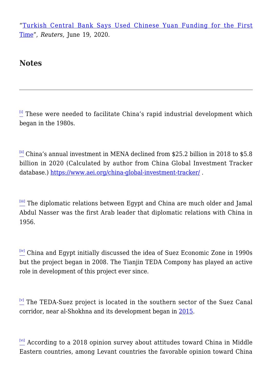"[Turkish Central Bank Says Used Chinese Yuan Funding for the First](https://www.reuters.com/article/us-turkey-cenbank-china/turkish-central-bank-says-used-chinese-yuan-funding-for-first-time-idUSKBN23Q2AH) [Time](https://www.reuters.com/article/us-turkey-cenbank-china/turkish-central-bank-says-used-chinese-yuan-funding-for-first-time-idUSKBN23Q2AH)", *Reuters*, June 19, 2020.

#### **Notes**

 $\left[$ <sup>[\[i\]](https://www.uikpanorama.com/applewebdata://30CC5F14-757B-4F95-A9CE-20DF5AF02E7B#_ednref1)</sup> These were needed to facilitate China's rapid industrial development which began in the 1980s.

 $\frac{1}{10}$  China's annual investment in MENA declined from \$25.2 billion in 2018 to \$5.8 billion in 2020 (Calculated by author from China Global Investment Tracker database.) <https://www.aei.org/china-global-investment-tracker/>.

[\[iii\]](https://www.uikpanorama.com/applewebdata://30CC5F14-757B-4F95-A9CE-20DF5AF02E7B#_ednref3) The diplomatic relations between Egypt and China are much older and Jamal Abdul Nasser was the first Arab leader that diplomatic relations with China in 1956.

[\[iv\]](https://www.uikpanorama.com/applewebdata://30CC5F14-757B-4F95-A9CE-20DF5AF02E7B#_ednref4) China and Egypt initially discussed the idea of Suez Economic Zone in 1990s but the project began in 2008. The Tianjin TEDA Compony has played an active role in development of this project ever since.

 $[V]$  The TEDA-Suez project is located in the southern sector of the Suez Canal corridor, near al-Shokhna and its development began in [2015](https://www.egypttoday.com/Article/1/68862/Why-Egypt-is-significant-to-Belt-and-Road-Initiative).

 $\frac{[vi]}{2}$  $\frac{[vi]}{2}$  $\frac{[vi]}{2}$  According to a 2018 opinion survey about attitudes toward China in Middle Eastern countries, among Levant countries the favorable opinion toward China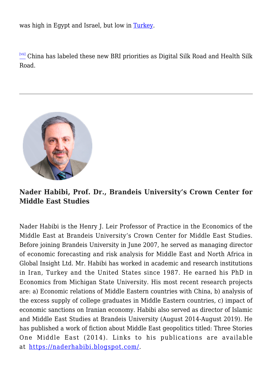was high in Egypt and Israel, but low in [Turkey](https://www.mei.edu/publications/public-opinion-middle-east-toward-china).

[\[vii\]](https://www.uikpanorama.com/applewebdata://30CC5F14-757B-4F95-A9CE-20DF5AF02E7B#_ednref7) China has labeled these new BRI priorities as Digital Silk Road and Health Silk Road.



**Nader Habibi, Prof. Dr., Brandeis University's Crown Center for Middle East Studies**

Nader Habibi is the Henry J. Leir Professor of Practice in the Economics of the Middle East at Brandeis University's Crown Center for Middle East Studies. Before joining Brandeis University in June 2007, he served as managing director of economic forecasting and risk analysis for Middle East and North Africa in Global Insight Ltd. Mr. Habibi has worked in academic and research institutions in Iran, Turkey and the United States since 1987. He earned his PhD in Economics from Michigan State University. His most recent research projects are: a) Economic relations of Middle Eastern countries with China, b) analysis of the excess supply of college graduates in Middle Eastern countries, c) impact of economic sanctions on Iranian economy. Habibi also served as director of Islamic and Middle East Studies at Brandeis University (August 2014-August 2019). He has published a work of fiction about Middle East geopolitics titled: Three Stories One Middle East (2014). Links to his publications are available at [https://naderhabibi.blogspot.com/.](https://linkprotect.cudasvc.com/url?a=https%3a%2f%2fnaderhabibi.blogspot.com%2f&c=E,1,guT507TJQXvaSFNtvwe7bkM7QYfxWmEikUbc8PilY7jbKdKN6OhZ5A1OR95OFupfdSE25hqOzw8RQy8O62i5WwFNcpM_ft22mHw4OOA5gBtsgx7YJJU,&typo=1)